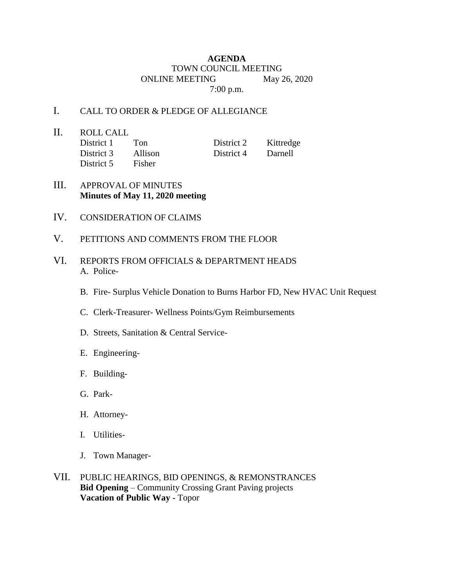## **AGENDA** TOWN COUNCIL MEETING ONLINE MEETING May 26, 2020 7:00 p.m.

## I. CALL TO ORDER & PLEDGE OF ALLEGIANCE

II. ROLL CALL District 1 Ton District 2 Kittredge District 3 Allison District 4 Darnell District 5 Fisher

- III. APPROVAL OF MINUTES **Minutes of May 11, 2020 meeting**
- IV. CONSIDERATION OF CLAIMS
- V. PETITIONS AND COMMENTS FROM THE FLOOR
- VI. REPORTS FROM OFFICIALS & DEPARTMENT HEADS A. Police-
	- B. Fire- Surplus Vehicle Donation to Burns Harbor FD, New HVAC Unit Request
	- C. Clerk-Treasurer- Wellness Points/Gym Reimbursements
	- D. Streets, Sanitation & Central Service-
	- E. Engineering-
	- F. Building-
	- G. Park-
	- H. Attorney-
	- I. Utilities-
	- J. Town Manager-
- VII. PUBLIC HEARINGS, BID OPENINGS, & REMONSTRANCES **Bid Opening** – Community Crossing Grant Paving projects **Vacation of Public Way -** Topor